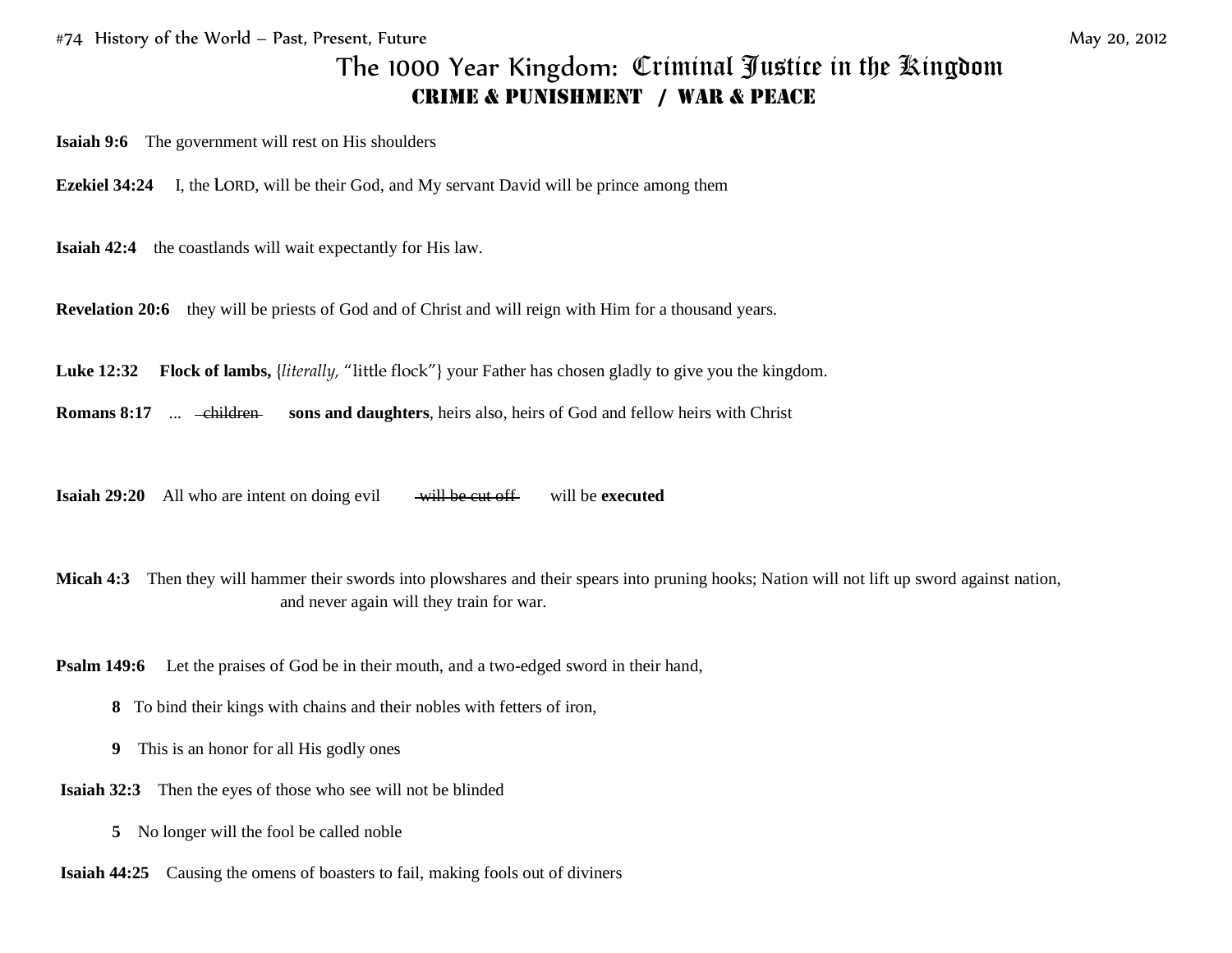## The 1000 Year Kingdom:Criminal Justice in the Kingdom **CRIME & PUNISHMENT / WAR & PEACE**

**Isaiah 9:6** The government will rest on His shoulders

**Ezekiel 34:24** I, the LORD, will be their God, and My servant David will be prince among them

**Isaiah 42:4** the coastlands will wait expectantly for His law.

**Revelation 20:6** they will be priests of God and of Christ and will reign with Him for a thousand years.

**Luke 12:32 Flock of lambs,** {*literally,* "little flock"} your Father has chosen gladly to give you the kingdom.

**Romans 8:17** ... - children sons and daughters, heirs also, heirs of God and fellow heirs with Christ

**Isaiah 29:20** All who are intent on doing evil will be cut off will be executed

**Micah 4:3** Then they will hammer their swords into plowshares and their spears into pruning hooks; Nation will not lift up sword against nation, and never again will they train for war.

**Psalm 149:6** Let the praises of God be in their mouth, and a two-edged sword in their hand,

- **8** To bind their kings with chains and their nobles with fetters of iron,
- **9** This is an honor for all His godly ones
- **Isaiah 32:3** Then the eyes of those who see will not be blinded
	- **5** No longer will the fool be called noble
- **Isaiah 44:25** Causing the omens of boasters to fail, making fools out of diviners